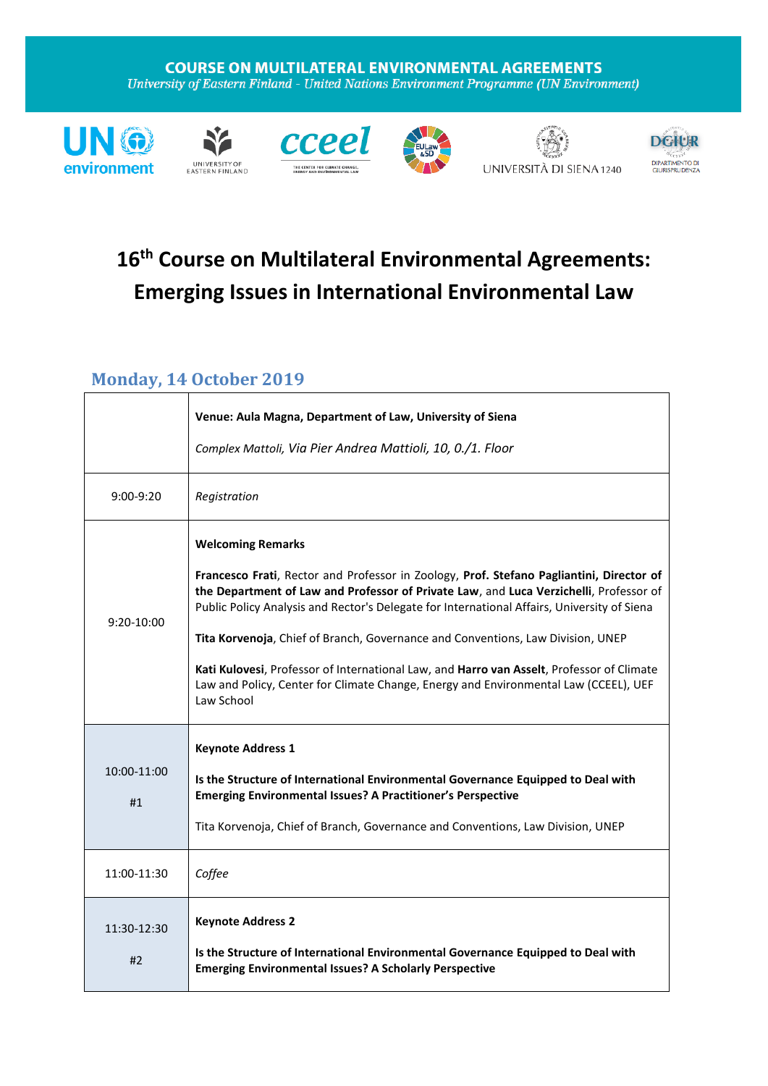#### **COURSE ON MULTILATERAL ENVIRONMENTAL AGREEMENTS** University of Eastern Finland - United Nations Environment Programme (UN Environment)













## **16 th Course on Multilateral Environmental Agreements: Emerging Issues in International Environmental Law**

#### **Monday, 14 October 2019**

|                   | Venue: Aula Magna, Department of Law, University of Siena<br>Complex Mattoli, Via Pier Andrea Mattioli, 10, 0./1. Floor                                                                                                                                                                                                                                                                                                                                                                                                                                                                             |
|-------------------|-----------------------------------------------------------------------------------------------------------------------------------------------------------------------------------------------------------------------------------------------------------------------------------------------------------------------------------------------------------------------------------------------------------------------------------------------------------------------------------------------------------------------------------------------------------------------------------------------------|
| $9:00-9:20$       | Registration                                                                                                                                                                                                                                                                                                                                                                                                                                                                                                                                                                                        |
| $9:20-10:00$      | <b>Welcoming Remarks</b><br>Francesco Frati, Rector and Professor in Zoology, Prof. Stefano Pagliantini, Director of<br>the Department of Law and Professor of Private Law, and Luca Verzichelli, Professor of<br>Public Policy Analysis and Rector's Delegate for International Affairs, University of Siena<br>Tita Korvenoja, Chief of Branch, Governance and Conventions, Law Division, UNEP<br>Kati Kulovesi, Professor of International Law, and Harro van Asselt, Professor of Climate<br>Law and Policy, Center for Climate Change, Energy and Environmental Law (CCEEL), UEF<br>Law School |
| 10:00-11:00<br>#1 | <b>Keynote Address 1</b><br>Is the Structure of International Environmental Governance Equipped to Deal with<br><b>Emerging Environmental Issues? A Practitioner's Perspective</b><br>Tita Korvenoja, Chief of Branch, Governance and Conventions, Law Division, UNEP                                                                                                                                                                                                                                                                                                                               |
| 11:00-11:30       | Coffee                                                                                                                                                                                                                                                                                                                                                                                                                                                                                                                                                                                              |
| 11:30-12:30<br>#2 | <b>Keynote Address 2</b><br>Is the Structure of International Environmental Governance Equipped to Deal with<br><b>Emerging Environmental Issues? A Scholarly Perspective</b>                                                                                                                                                                                                                                                                                                                                                                                                                       |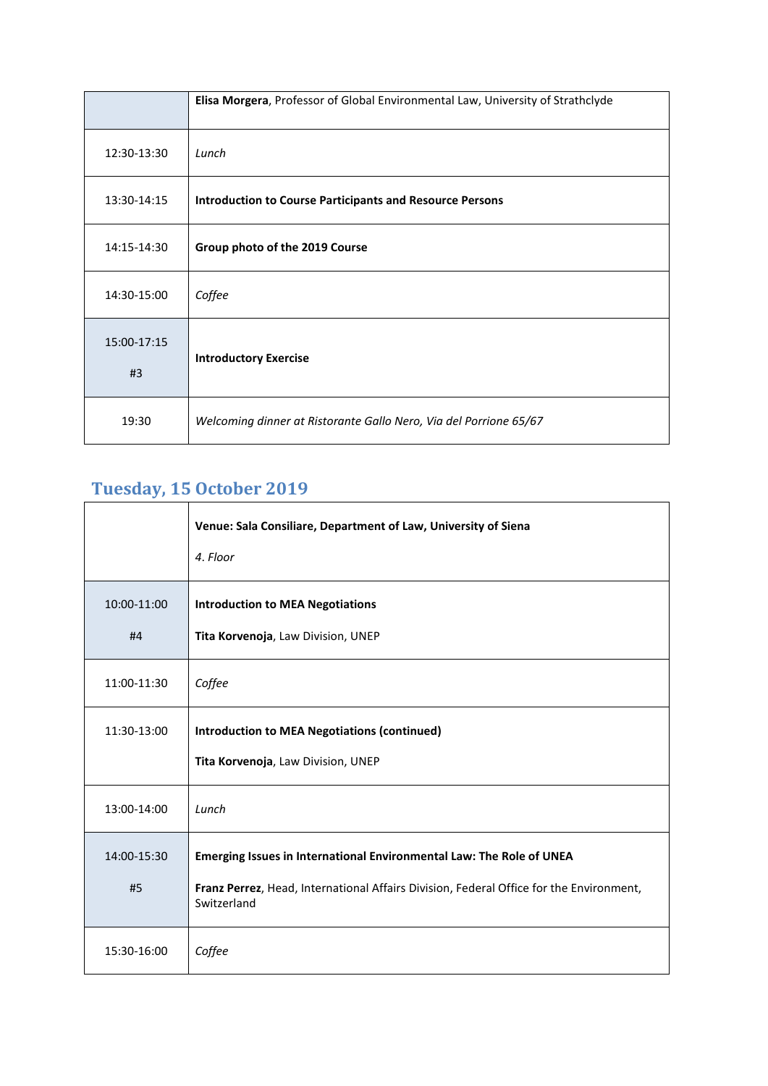|                   | Elisa Morgera, Professor of Global Environmental Law, University of Strathclyde |
|-------------------|---------------------------------------------------------------------------------|
| 12:30-13:30       | Lunch                                                                           |
| 13:30-14:15       | <b>Introduction to Course Participants and Resource Persons</b>                 |
| 14:15-14:30       | Group photo of the 2019 Course                                                  |
| 14:30-15:00       | Coffee                                                                          |
| 15:00-17:15<br>#3 | <b>Introductory Exercise</b>                                                    |
| 19:30             | Welcoming dinner at Ristorante Gallo Nero, Via del Porrione 65/67               |

## **Tuesday, 15 October 2019**

|                   | Venue: Sala Consiliare, Department of Law, University of Siena<br>4. Floor                                                                                                     |
|-------------------|--------------------------------------------------------------------------------------------------------------------------------------------------------------------------------|
| 10:00-11:00<br>#4 | <b>Introduction to MEA Negotiations</b><br>Tita Korvenoja, Law Division, UNEP                                                                                                  |
| 11:00-11:30       | Coffee                                                                                                                                                                         |
| 11:30-13:00       | <b>Introduction to MEA Negotiations (continued)</b><br>Tita Korvenoja, Law Division, UNEP                                                                                      |
| 13:00-14:00       | Lunch                                                                                                                                                                          |
| 14:00-15:30<br>#5 | Emerging Issues in International Environmental Law: The Role of UNEA<br>Franz Perrez, Head, International Affairs Division, Federal Office for the Environment,<br>Switzerland |
| 15:30-16:00       | Coffee                                                                                                                                                                         |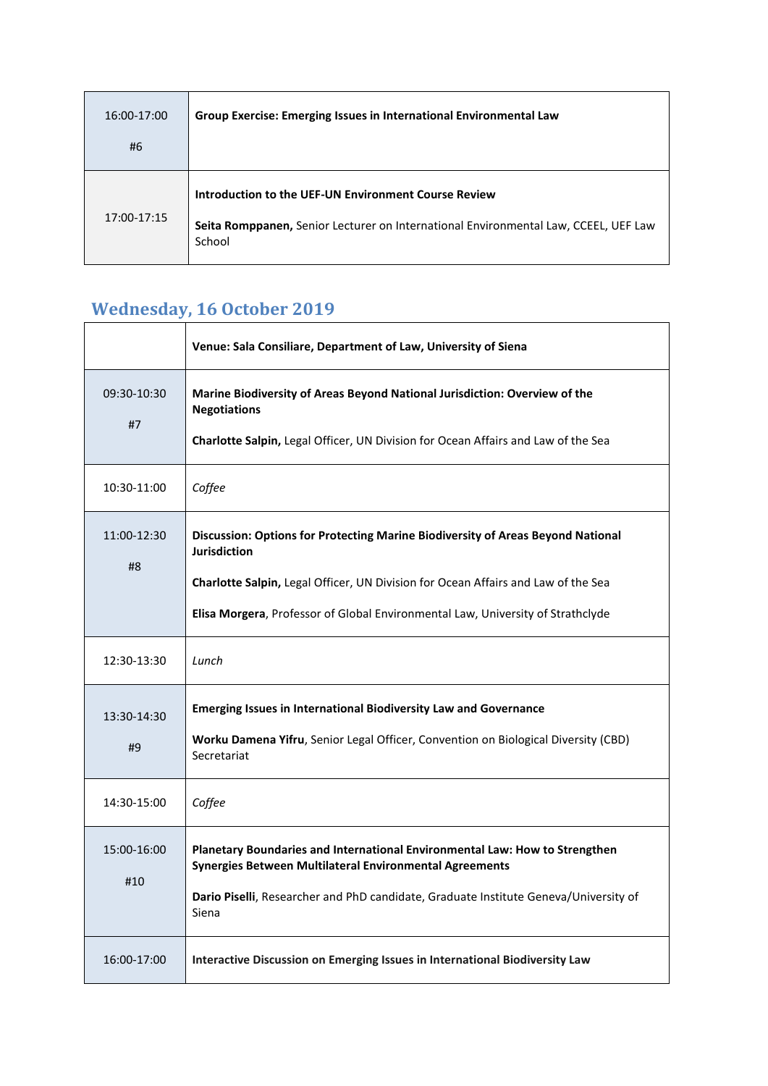| 16:00-17:00<br>#6 | Group Exercise: Emerging Issues in International Environmental Law                                                                                    |
|-------------------|-------------------------------------------------------------------------------------------------------------------------------------------------------|
| 17:00-17:15       | Introduction to the UEF-UN Environment Course Review<br>Seita Romppanen, Senior Lecturer on International Environmental Law, CCEEL, UEF Law<br>School |

 $\overline{\phantom{0}}$ 

# **Wednesday, 16 October 2019**

|                    | Venue: Sala Consiliare, Department of Law, University of Siena                                                                                                                                                                                                                 |
|--------------------|--------------------------------------------------------------------------------------------------------------------------------------------------------------------------------------------------------------------------------------------------------------------------------|
| 09:30-10:30<br>#7  | Marine Biodiversity of Areas Beyond National Jurisdiction: Overview of the<br><b>Negotiations</b><br>Charlotte Salpin, Legal Officer, UN Division for Ocean Affairs and Law of the Sea                                                                                         |
| 10:30-11:00        | Coffee                                                                                                                                                                                                                                                                         |
| 11:00-12:30<br>#8  | Discussion: Options for Protecting Marine Biodiversity of Areas Beyond National<br><b>Jurisdiction</b><br>Charlotte Salpin, Legal Officer, UN Division for Ocean Affairs and Law of the Sea<br>Elisa Morgera, Professor of Global Environmental Law, University of Strathclyde |
| 12:30-13:30        | Lunch                                                                                                                                                                                                                                                                          |
| 13:30-14:30<br>#9  | <b>Emerging Issues in International Biodiversity Law and Governance</b><br>Worku Damena Yifru, Senior Legal Officer, Convention on Biological Diversity (CBD)<br>Secretariat                                                                                                   |
| 14:30-15:00        | Coffee                                                                                                                                                                                                                                                                         |
| 15:00-16:00<br>#10 | Planetary Boundaries and International Environmental Law: How to Strengthen<br>Synergies Between Multilateral Environmental Agreements<br>Dario Piselli, Researcher and PhD candidate, Graduate Institute Geneva/University of<br>Siena                                        |
| 16:00-17:00        | Interactive Discussion on Emerging Issues in International Biodiversity Law                                                                                                                                                                                                    |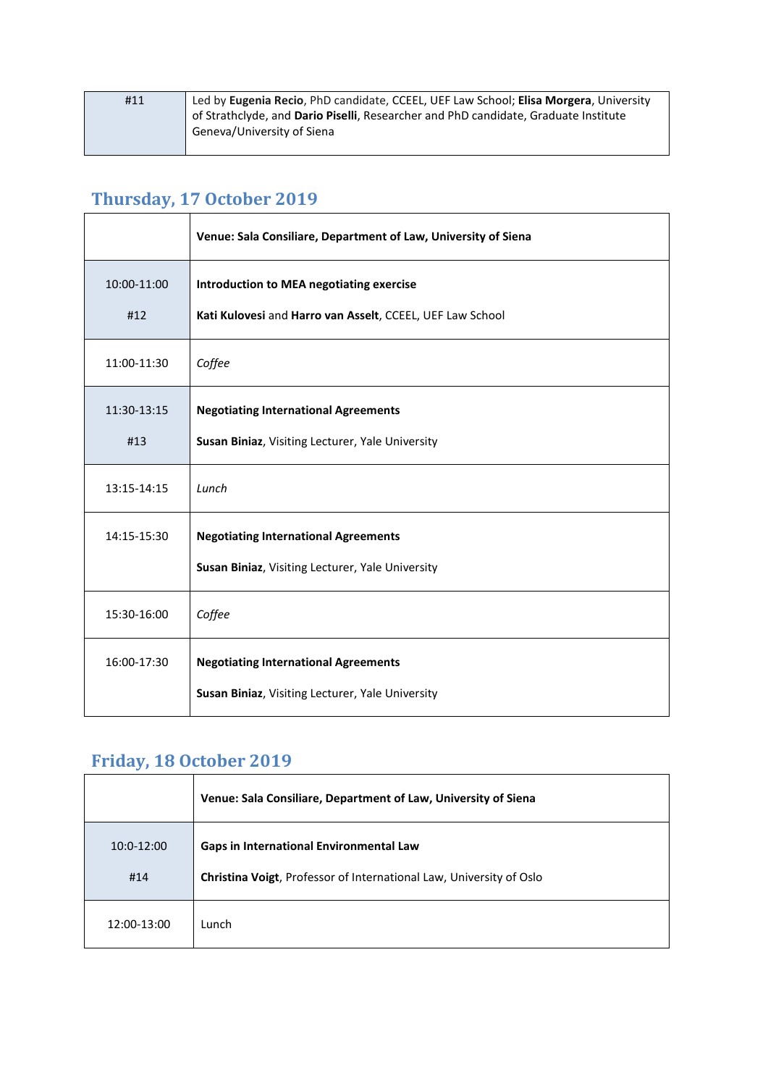| #11 | Led by Eugenia Recio, PhD candidate, CCEEL, UEF Law School; Elisa Morgera, University |
|-----|---------------------------------------------------------------------------------------|
|     | of Strathclyde, and Dario Piselli, Researcher and PhD candidate, Graduate Institute   |
|     | Geneva/University of Siena                                                            |
|     |                                                                                       |

## **Thursday, 17 October 2019**

|             | Venue: Sala Consiliare, Department of Law, University of Siena |
|-------------|----------------------------------------------------------------|
| 10:00-11:00 | <b>Introduction to MEA negotiating exercise</b>                |
| #12         | Kati Kulovesi and Harro van Asselt, CCEEL, UEF Law School      |
| 11:00-11:30 | Coffee                                                         |
| 11:30-13:15 | <b>Negotiating International Agreements</b>                    |
| #13         | Susan Biniaz, Visiting Lecturer, Yale University               |
| 13:15-14:15 | Lunch                                                          |
| 14:15-15:30 | <b>Negotiating International Agreements</b>                    |
|             | Susan Biniaz, Visiting Lecturer, Yale University               |
| 15:30-16:00 | Coffee                                                         |
| 16:00-17:30 | <b>Negotiating International Agreements</b>                    |
|             | Susan Biniaz, Visiting Lecturer, Yale University               |

### **Friday, 18 October 2019**

|                     | Venue: Sala Consiliare, Department of Law, University of Siena                                                               |
|---------------------|------------------------------------------------------------------------------------------------------------------------------|
| $10:0-12:00$<br>#14 | <b>Gaps in International Environmental Law</b><br><b>Christina Voigt, Professor of International Law, University of Oslo</b> |
| 12:00-13:00         | Lunch                                                                                                                        |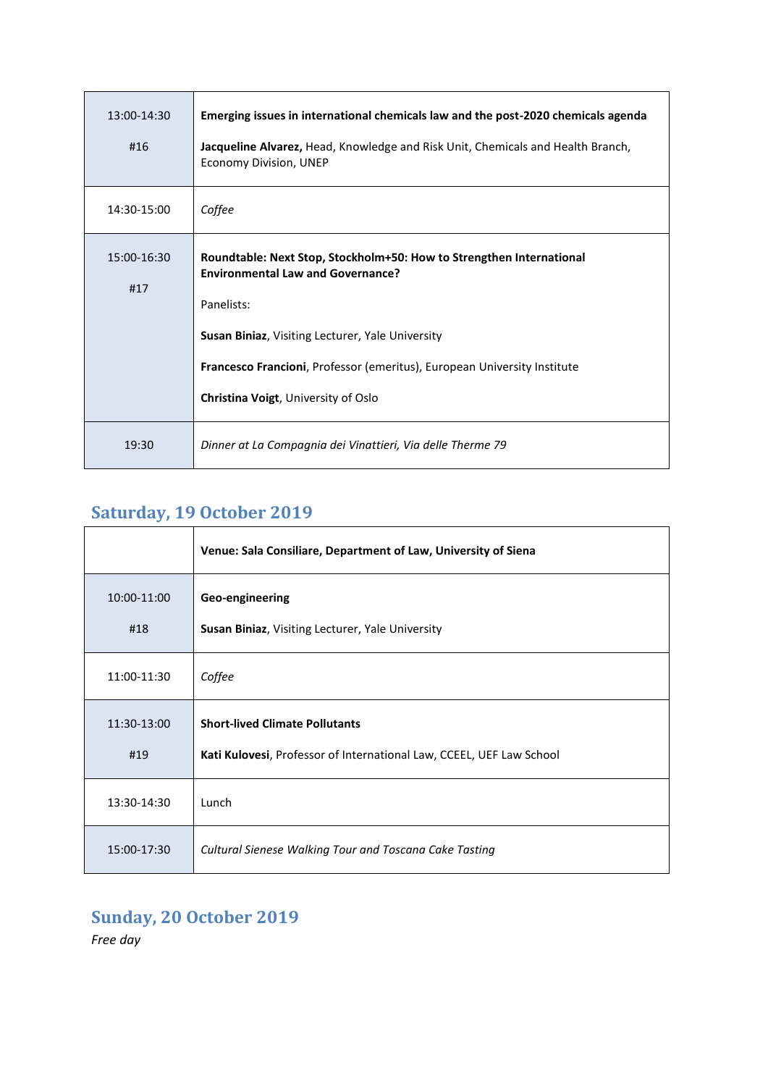| 13:00-14:30<br>#16 | Emerging issues in international chemicals law and the post-2020 chemicals agenda<br>Jacqueline Alvarez, Head, Knowledge and Risk Unit, Chemicals and Health Branch,<br>Economy Division, UNEP                                                                                                        |
|--------------------|-------------------------------------------------------------------------------------------------------------------------------------------------------------------------------------------------------------------------------------------------------------------------------------------------------|
| 14:30-15:00        | Coffee                                                                                                                                                                                                                                                                                                |
| 15:00-16:30<br>#17 | Roundtable: Next Stop, Stockholm+50: How to Strengthen International<br><b>Environmental Law and Governance?</b><br>Panelists:<br>Susan Biniaz, Visiting Lecturer, Yale University<br>Francesco Francioni, Professor (emeritus), European University Institute<br>Christina Voigt, University of Oslo |
| 19:30              | Dinner at La Compagnia dei Vinattieri, Via delle Therme 79                                                                                                                                                                                                                                            |

#### **Saturday, 19 October 2019**

|                    | Venue: Sala Consiliare, Department of Law, University of Siena                                                |
|--------------------|---------------------------------------------------------------------------------------------------------------|
| 10:00-11:00<br>#18 | Geo-engineering<br><b>Susan Biniaz, Visiting Lecturer, Yale University</b>                                    |
| 11:00-11:30        | Coffee                                                                                                        |
| 11:30-13:00<br>#19 | <b>Short-lived Climate Pollutants</b><br>Kati Kulovesi, Professor of International Law, CCEEL, UEF Law School |
| 13:30-14:30        | Lunch                                                                                                         |
| 15:00-17:30        | Cultural Sienese Walking Tour and Toscana Cake Tasting                                                        |

### **Sunday, 20 October 2019**

*Free day*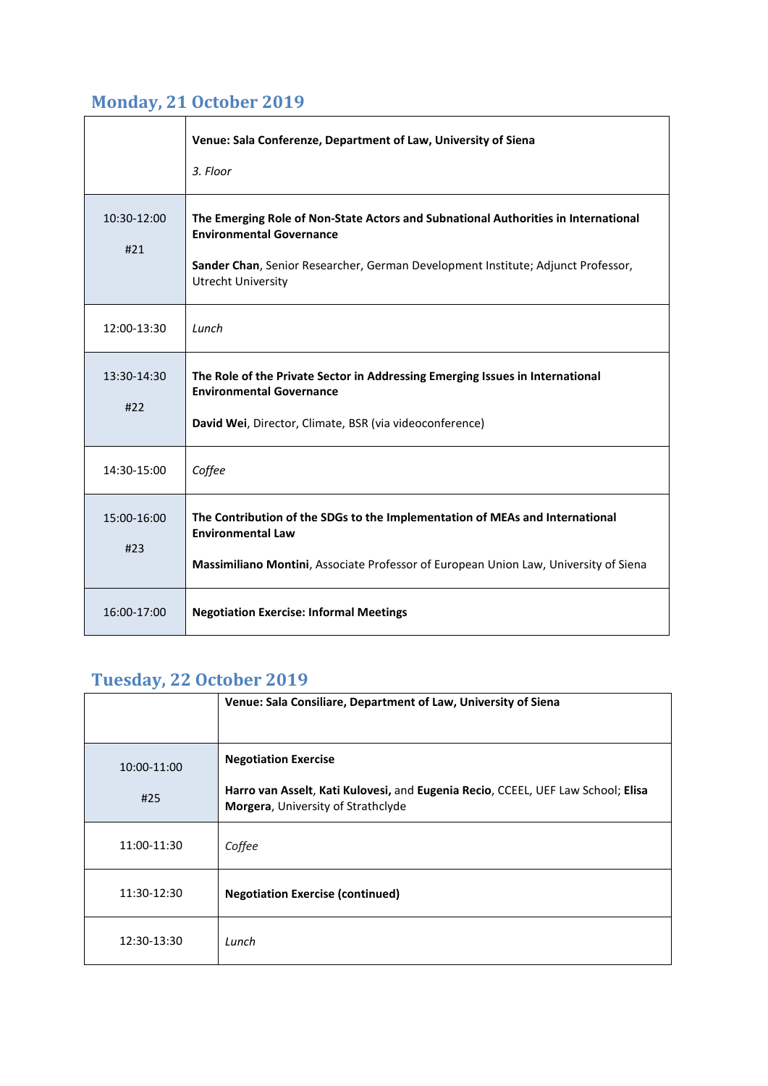#### **Monday, 21 October 2019**

|                    | Venue: Sala Conferenze, Department of Law, University of Siena<br>3. Floor                                                                                                                                                             |
|--------------------|----------------------------------------------------------------------------------------------------------------------------------------------------------------------------------------------------------------------------------------|
| 10:30-12:00<br>#21 | The Emerging Role of Non-State Actors and Subnational Authorities in International<br><b>Environmental Governance</b><br>Sander Chan, Senior Researcher, German Development Institute; Adjunct Professor,<br><b>Utrecht University</b> |
| 12:00-13:30        | Lunch                                                                                                                                                                                                                                  |
| 13:30-14:30<br>#22 | The Role of the Private Sector in Addressing Emerging Issues in International<br><b>Environmental Governance</b><br>David Wei, Director, Climate, BSR (via videoconference)                                                            |
| 14:30-15:00        | Coffee                                                                                                                                                                                                                                 |
| 15:00-16:00<br>#23 | The Contribution of the SDGs to the Implementation of MEAs and International<br><b>Environmental Law</b><br>Massimiliano Montini, Associate Professor of European Union Law, University of Siena                                       |
| 16:00-17:00        | <b>Negotiation Exercise: Informal Meetings</b>                                                                                                                                                                                         |

### **Tuesday, 22 October 2019**

|             | Venue: Sala Consiliare, Department of Law, University of Siena                                                         |
|-------------|------------------------------------------------------------------------------------------------------------------------|
| 10:00-11:00 | <b>Negotiation Exercise</b>                                                                                            |
| #25         | Harro van Asselt, Kati Kulovesi, and Eugenia Recio, CCEEL, UEF Law School; Elisa<br>Morgera, University of Strathclyde |
| 11:00-11:30 | Coffee                                                                                                                 |
| 11:30-12:30 | <b>Negotiation Exercise (continued)</b>                                                                                |
| 12:30-13:30 | Lunch                                                                                                                  |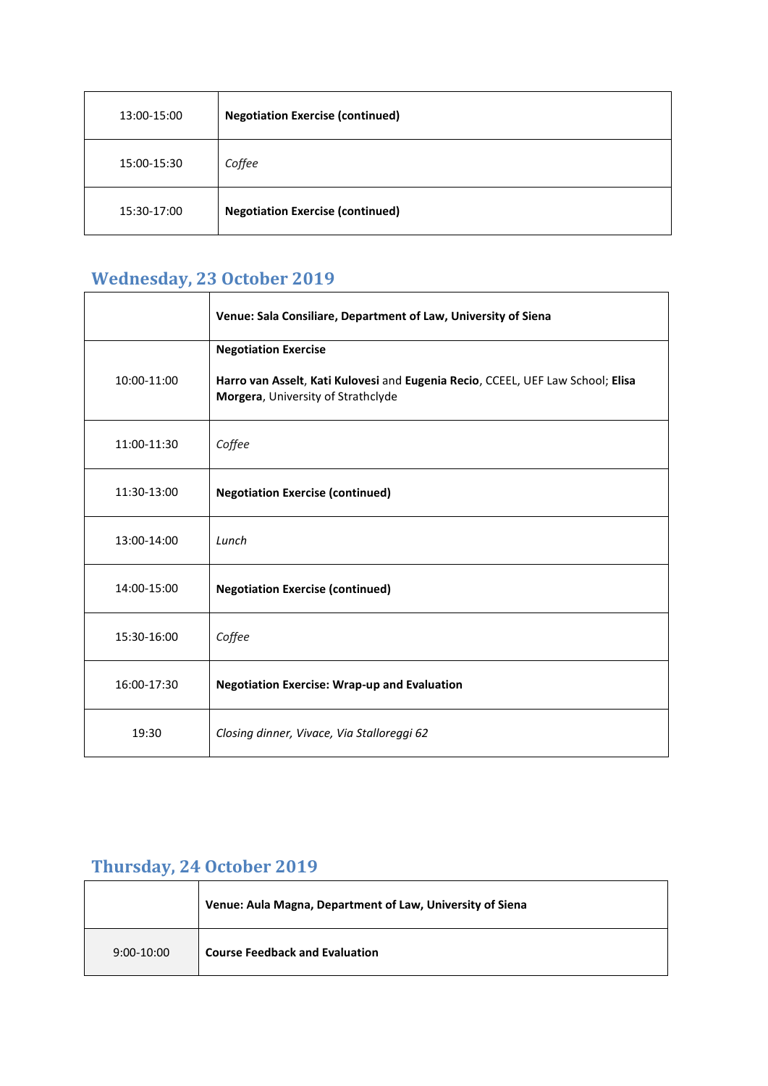| 13:00-15:00 | <b>Negotiation Exercise (continued)</b> |
|-------------|-----------------------------------------|
| 15:00-15:30 | Coffee                                  |
| 15:30-17:00 | <b>Negotiation Exercise (continued)</b> |

## **Wednesday, 23 October 2019**

|             | Venue: Sala Consiliare, Department of Law, University of Siena                                                                                       |
|-------------|------------------------------------------------------------------------------------------------------------------------------------------------------|
| 10:00-11:00 | <b>Negotiation Exercise</b><br>Harro van Asselt, Kati Kulovesi and Eugenia Recio, CCEEL, UEF Law School; Elisa<br>Morgera, University of Strathclyde |
| 11:00-11:30 | Coffee                                                                                                                                               |
| 11:30-13:00 | <b>Negotiation Exercise (continued)</b>                                                                                                              |
| 13:00-14:00 | Lunch                                                                                                                                                |
| 14:00-15:00 | <b>Negotiation Exercise (continued)</b>                                                                                                              |
| 15:30-16:00 | Coffee                                                                                                                                               |
| 16:00-17:30 | <b>Negotiation Exercise: Wrap-up and Evaluation</b>                                                                                                  |
| 19:30       | Closing dinner, Vivace, Via Stalloreggi 62                                                                                                           |

## **Thursday, 24 October 2019**

|              | Venue: Aula Magna, Department of Law, University of Siena |
|--------------|-----------------------------------------------------------|
| $9:00-10:00$ | <b>Course Feedback and Evaluation</b>                     |

٦